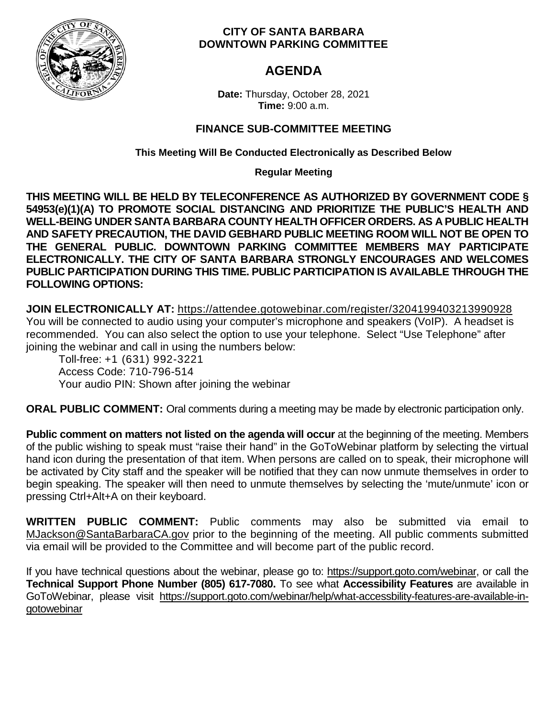

### **CITY OF SANTA BARBARA DOWNTOWN PARKING COMMITTEE**

# **AGENDA**

**Date:** Thursday, October 28, 2021 **Time:** 9:00 a.m.

## **FINANCE SUB-COMMITTEE MEETING**

**This Meeting Will Be Conducted Electronically as Described Below**

**Regular Meeting**

**THIS MEETING WILL BE HELD BY TELECONFERENCE AS AUTHORIZED BY GOVERNMENT CODE § 54953(e)(1)(A) TO PROMOTE SOCIAL DISTANCING AND PRIORITIZE THE PUBLIC'S HEALTH AND WELL-BEING UNDER SANTA BARBARA COUNTY HEALTH OFFICER ORDERS. AS A PUBLIC HEALTH AND SAFETY PRECAUTION, THE DAVID GEBHARD PUBLIC MEETING ROOM WILL NOT BE OPEN TO THE GENERAL PUBLIC. DOWNTOWN PARKING COMMITTEE MEMBERS MAY PARTICIPATE ELECTRONICALLY. THE CITY OF SANTA BARBARA STRONGLY ENCOURAGES AND WELCOMES PUBLIC PARTICIPATION DURING THIS TIME. PUBLIC PARTICIPATION IS AVAILABLE THROUGH THE FOLLOWING OPTIONS:**

**JOIN ELECTRONICALLY AT:** <https://attendee.gotowebinar.com/register/3204199403213990928> You will be connected to audio using your computer's microphone and speakers (VoIP). A headset is recommended. You can also select the option to use your telephone. Select "Use Telephone" after joining the webinar and call in using the numbers below:

Toll-free: +1 (631) 992-3221 Access Code: 710-796-514 Your audio PIN: Shown after joining the webinar

**ORAL PUBLIC COMMENT:** Oral comments during a meeting may be made by electronic participation only.

**Public comment on matters not listed on the agenda will occur** at the beginning of the meeting. Members of the public wishing to speak must "raise their hand" in the GoToWebinar platform by selecting the virtual hand icon during the presentation of that item. When persons are called on to speak, their microphone will be activated by City staff and the speaker will be notified that they can now unmute themselves in order to begin speaking. The speaker will then need to unmute themselves by selecting the 'mute/unmute' icon or pressing Ctrl+Alt+A on their keyboard.

**WRITTEN PUBLIC COMMENT:** Public comments may also be submitted via email to [MJackson@SantaBarbaraCA.gov](mailto:MJackson@SantaBarbaraCA.gov) prior to the beginning of the meeting. All public comments submitted via email will be provided to the Committee and will become part of the public record.

If you have technical questions about the webinar, please go to: [https://support.goto.com/webinar,](https://support.goto.com/webinar) or call the **Technical Support Phone Number (805) 617-7080.** To see what **Accessibility Features** are available in GoToWebinar, please visit [https://support.goto.com/webinar/help/what-accessbility-features-are-available-in](https://support.goto.com/webinar/help/what-accessbility-features-are-available-in-gotowebinar)[gotowebinar](https://support.goto.com/webinar/help/what-accessbility-features-are-available-in-gotowebinar)